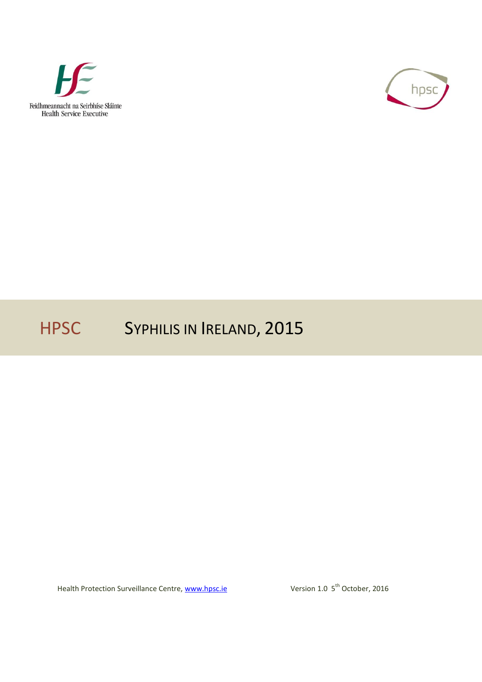



# HPSC SYPHILIS IN IRELAND, 2015

Health Protection Surveillance Centre, [www.hpsc.ie](http://www.hpsc.ie/)

Version 1.0 5<sup>th</sup> October, 2016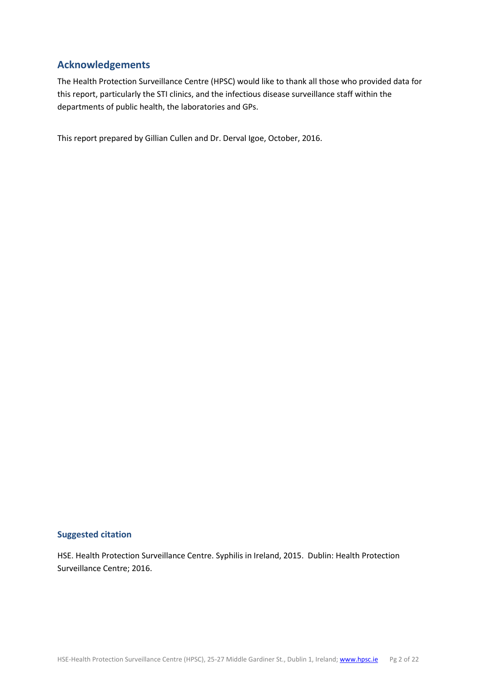### <span id="page-1-0"></span>**Acknowledgements**

The Health Protection Surveillance Centre (HPSC) would like to thank all those who provided data for this report, particularly the STI clinics, and the infectious disease surveillance staff within the departments of public health, the laboratories and GPs.

This report prepared by Gillian Cullen and Dr. Derval Igoe, October, 2016.

### **Suggested citation**

HSE. Health Protection Surveillance Centre. Syphilis in Ireland, 2015. Dublin: Health Protection Surveillance Centre; 2016.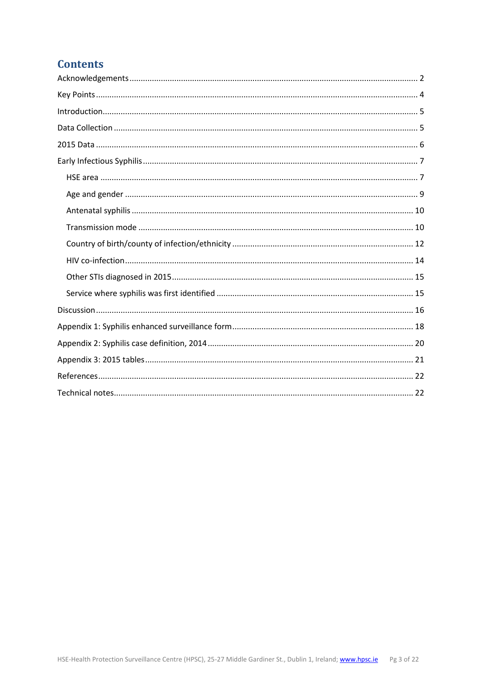# **Contents**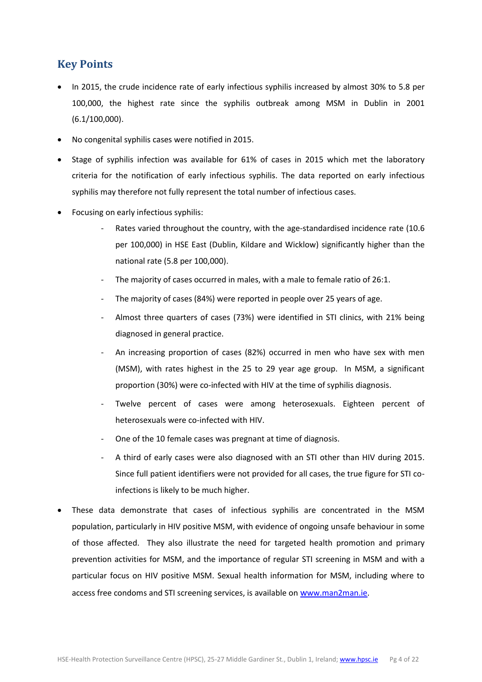# <span id="page-3-0"></span>**Key Points**

- In 2015, the crude incidence rate of early infectious syphilis increased by almost 30% to 5.8 per 100,000, the highest rate since the syphilis outbreak among MSM in Dublin in 2001 (6.1/100,000).
- No congenital syphilis cases were notified in 2015.
- Stage of syphilis infection was available for 61% of cases in 2015 which met the laboratory criteria for the notification of early infectious syphilis. The data reported on early infectious syphilis may therefore not fully represent the total number of infectious cases.
- Focusing on early infectious syphilis:
	- Rates varied throughout the country, with the age-standardised incidence rate (10.6 per 100,000) in HSE East (Dublin, Kildare and Wicklow) significantly higher than the national rate (5.8 per 100,000).
	- The majority of cases occurred in males, with a male to female ratio of 26:1.
	- The majority of cases (84%) were reported in people over 25 years of age.
	- Almost three quarters of cases (73%) were identified in STI clinics, with 21% being diagnosed in general practice.
	- An increasing proportion of cases (82%) occurred in men who have sex with men (MSM), with rates highest in the 25 to 29 year age group. In MSM, a significant proportion (30%) were co-infected with HIV at the time of syphilis diagnosis.
	- Twelve percent of cases were among heterosexuals. Eighteen percent of heterosexuals were co-infected with HIV.
	- One of the 10 female cases was pregnant at time of diagnosis.
	- A third of early cases were also diagnosed with an STI other than HIV during 2015. Since full patient identifiers were not provided for all cases, the true figure for STI coinfections is likely to be much higher.
- These data demonstrate that cases of infectious syphilis are concentrated in the MSM population, particularly in HIV positive MSM, with evidence of ongoing unsafe behaviour in some of those affected. They also illustrate the need for targeted health promotion and primary prevention activities for MSM, and the importance of regular STI screening in MSM and with a particular focus on HIV positive MSM. Sexual health information for MSM, including where to access free condoms and STI screening services, is available on w[ww.man2man.ie.](http://www.man2man.ie/)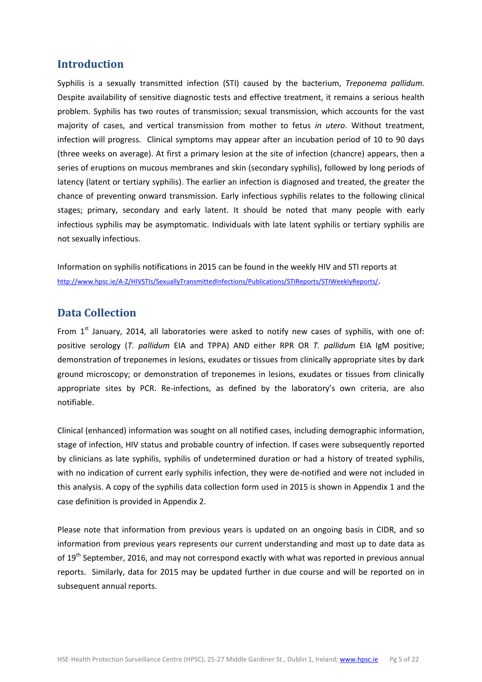### <span id="page-4-0"></span>**Introduction**

Syphilis is a sexually transmitted infection (STI) caused by the bacterium, *Treponema pallidum*. Despite availability of sensitive diagnostic tests and effective treatment, it remains a serious health problem. Syphilis has two routes of transmission; sexual transmission, which accounts for the vast majority of cases, and vertical transmission from mother to fetus *in utero*. Without treatment, infection will progress. Clinical symptoms may appear after an incubation period of 10 to 90 days (three weeks on average). At first a primary lesion at the site of infection (chancre) appears, then a series of eruptions on mucous membranes and skin (secondary syphilis), followed by long periods of latency (latent or tertiary syphilis). The earlier an infection is diagnosed and treated, the greater the chance of preventing onward transmission. Early infectious syphilis relates to the following clinical stages; primary, secondary and early latent. It should be noted that many people with early infectious syphilis may be asymptomatic. Individuals with late latent syphilis or tertiary syphilis are not sexually infectious.

Information on syphilis notifications in 2015 can be found in the weekly HIV and STI reports at <http://www.hpsc.ie/A-Z/HIVSTIs/SexuallyTransmittedInfections/Publications/STIReports/STIWeeklyReports/>.

### <span id="page-4-1"></span>**Data Collection**

From  $1<sup>st</sup>$  January, 2014, all laboratories were asked to notify new cases of syphilis, with one of: positive serology (*T. pallidum* EIA and TPPA) AND either RPR OR *T. pallidum* EIA IgM positive; demonstration of treponemes in lesions, exudates or tissues from clinically appropriate sites by dark ground microscopy; or demonstration of treponemes in lesions, exudates or tissues from clinically appropriate sites by PCR. Re-infections, as defined by the laboratory's own criteria, are also notifiable.

Clinical (enhanced) information was sought on all notified cases, including demographic information, stage of infection, HIV status and probable country of infection. If cases were subsequently reported by clinicians as late syphilis, syphilis of undetermined duration or had a history of treated syphilis, with no indication of current early syphilis infection, they were de-notified and were not included in this analysis. A copy of the syphilis data collection form used in 2015 is shown in Appendix 1 and the case definition is provided in Appendix 2.

Please note that information from previous years is updated on an ongoing basis in CIDR, and so information from previous years represents our current understanding and most up to date data as of 19<sup>th</sup> September, 2016, and may not correspond exactly with what was reported in previous annual reports. Similarly, data for 2015 may be updated further in due course and will be reported on in subsequent annual reports.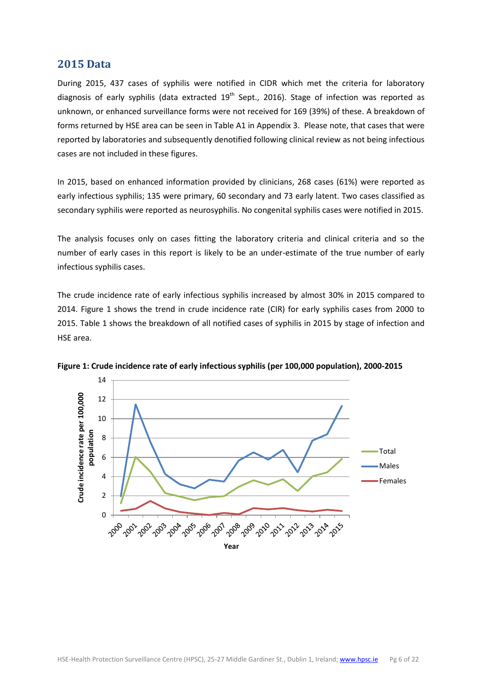### <span id="page-5-0"></span>**2015 Data**

During 2015, 437 cases of syphilis were notified in CIDR which met the criteria for laboratory diagnosis of early syphilis (data extracted  $19<sup>th</sup>$  Sept., 2016). Stage of infection was reported as unknown, or enhanced surveillance forms were not received for 169 (39%) of these. A breakdown of forms returned by HSE area can be seen in Table A1 in Appendix 3. Please note, that cases that were reported by laboratories and subsequently denotified following clinical review as not being infectious cases are not included in these figures.

In 2015, based on enhanced information provided by clinicians, 268 cases (61%) were reported as early infectious syphilis; 135 were primary, 60 secondary and 73 early latent. Two cases classified as secondary syphilis were reported as neurosyphilis. No congenital syphilis cases were notified in 2015.

The analysis focuses only on cases fitting the laboratory criteria and clinical criteria and so the number of early cases in this report is likely to be an under-estimate of the true number of early infectious syphilis cases.

The crude incidence rate of early infectious syphilis increased by almost 30% in 2015 compared to 2014. Figure 1 shows the trend in crude incidence rate (CIR) for early syphilis cases from 2000 to 2015. Table 1 shows the breakdown of all notified cases of syphilis in 2015 by stage of infection and HSE area.



**Figure 1: Crude incidence rate of early infectious syphilis (per 100,000 population), 2000-2015**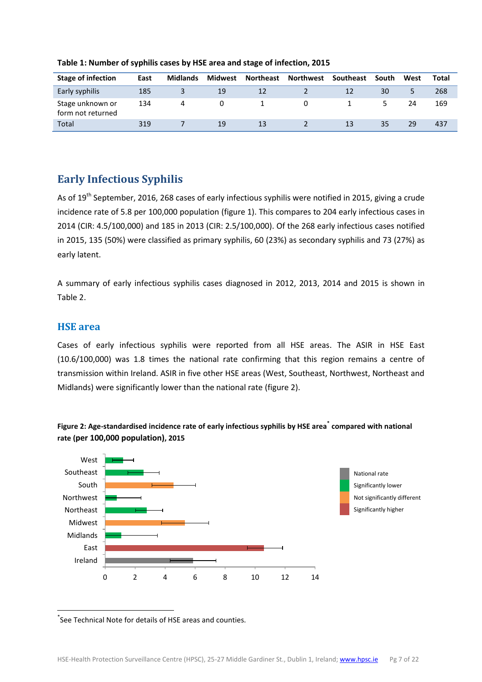| <b>Stage of infection</b>             | East | <b>Midlands</b> | Midwest | <b>Northeast</b> | <b>Northwest</b> | Southeast | South | West | Total |
|---------------------------------------|------|-----------------|---------|------------------|------------------|-----------|-------|------|-------|
| Early syphilis                        | 185  |                 | 19      | 12               |                  |           | 30    |      | 268   |
| Stage unknown or<br>form not returned | 134  | 4               |         |                  |                  |           |       | 24   | 169   |
| Total                                 | 319  |                 | 19      | 13               |                  | 13        | 35    | 29   | 437   |

**Table 1: Number of syphilis cases by HSE area and stage of infection, 2015**

# <span id="page-6-0"></span>**Early Infectious Syphilis**

As of 19<sup>th</sup> September, 2016, 268 cases of early infectious syphilis were notified in 2015, giving a crude incidence rate of 5.8 per 100,000 population (figure 1). This compares to 204 early infectious cases in 2014 (CIR: 4.5/100,000) and 185 in 2013 (CIR: 2.5/100,000). Of the 268 early infectious cases notified in 2015, 135 (50%) were classified as primary syphilis, 60 (23%) as secondary syphilis and 73 (27%) as early latent.

A summary of early infectious syphilis cases diagnosed in 2012, 2013, 2014 and 2015 is shown in Table 2.

### <span id="page-6-1"></span>**HSE area**

Cases of early infectious syphilis were reported from all HSE areas. The ASIR in HSE East (10.6/100,000) was 1.8 times the national rate confirming that this region remains a centre of transmission within Ireland. ASIR in five other HSE areas (West, Southeast, Northwest, Northeast and Midlands) were significantly lower than the national rate (figure 2).





 $\overline{\phantom{a}}$ \* See Technical Note for details of HSE areas and counties.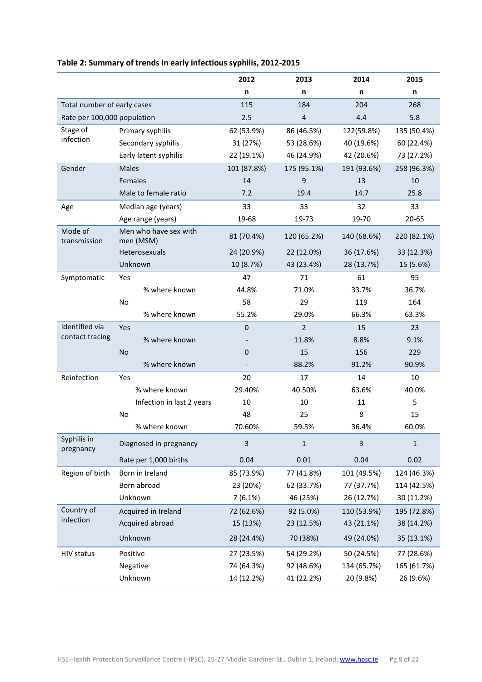|                             |                                    | 2012                     | 2013           | 2014        | 2015        |
|-----------------------------|------------------------------------|--------------------------|----------------|-------------|-------------|
|                             |                                    | n                        | n              | n           | n           |
| Total number of early cases |                                    | 115                      | 184            | 204         | 268         |
| Rate per 100,000 population |                                    | 2.5                      | $\overline{4}$ | 4.4         | 5.8         |
| Stage of                    | Primary syphilis                   | 62 (53.9%)               | 86 (46.5%)     | 122(59.8%)  | 135 (50.4%) |
| infection                   | Secondary syphilis                 | 31 (27%)                 | 53 (28.6%)     | 40 (19.6%)  | 60 (22.4%)  |
|                             | Early latent syphilis              | 22 (19.1%)               | 46 (24.9%)     | 42 (20.6%)  | 73 (27.2%)  |
| Gender                      | <b>Males</b>                       | 101 (87.8%)              | 175 (95.1%)    | 191 (93.6%) | 258 (96.3%) |
|                             | Females                            | 14                       | 9              | 13          | 10          |
|                             | Male to female ratio               | 7.2                      | 19.4           | 14.7        | 25.8        |
| Age                         | Median age (years)                 | 33                       | 33             | 32          | 33          |
|                             | Age range (years)                  | 19-68                    | 19-73          | 19-70       | 20-65       |
| Mode of<br>transmission     | Men who have sex with<br>men (MSM) | 81 (70.4%)               | 120 (65.2%)    | 140 (68.6%) | 220 (82.1%) |
|                             | Heterosexuals                      | 24 (20.9%)               | 22 (12.0%)     | 36 (17.6%)  | 33 (12.3%)  |
|                             | Unknown                            | 10 (8.7%)                | 43 (23.4%)     | 28 (13.7%)  | 15 (5.6%)   |
| Symptomatic                 | Yes                                | 47                       | 71             | 61          | 95          |
|                             | % where known                      | 44.8%                    | 71.0%          | 33.7%       | 36.7%       |
|                             | No                                 | 58                       | 29             | 119         | 164         |
|                             | % where known                      | 55.2%                    | 29.0%          | 66.3%       | 63.3%       |
| <b>Identified</b> via       | Yes                                | $\mathbf 0$              | $\overline{2}$ | 15          | 23          |
| contact tracing             | % where known                      |                          | 11.8%          | 8.8%        | 9.1%        |
|                             | <b>No</b>                          | $\mathbf 0$              | 15             | 156         | 229         |
|                             | % where known                      | $\overline{\phantom{a}}$ | 88.2%          | 91.2%       | 90.9%       |
| Reinfection                 | Yes                                | 20                       | 17             | 14          | 10          |
|                             | % where known                      | 29.40%                   | 40.50%         | 63.6%       | 40.0%       |
|                             | Infection in last 2 years          | 10                       | 10             | 11          | 5           |
|                             | No                                 | 48                       | 25             | 8           | 15          |
|                             | % where known                      | 70.60%                   | 59.5%          | 36.4%       | 60.0%       |
| Syphilis in<br>pregnancy    | Diagnosed in pregnancy             | 3                        | $\mathbf 1$    | 3           | $\mathbf 1$ |
|                             | Rate per 1,000 births              | 0.04                     | 0.01           | 0.04        | 0.02        |
| Region of birth             | Born in Ireland                    | 85 (73.9%)               | 77 (41.8%)     | 101 (49.5%) | 124 (46.3%) |
|                             | Born abroad                        | 23 (20%)                 | 62 (33.7%)     | 77 (37.7%)  | 114 (42.5%) |
|                             | Unknown                            | 7(6.1%)                  | 46 (25%)       | 26 (12.7%)  | 30 (11.2%)  |
| Country of                  | Acquired in Ireland                | 72 (62.6%)               | 92 (5.0%)      | 110 (53.9%) | 195 (72.8%) |
| infection                   | Acquired abroad                    | 15 (13%)                 | 23 (12.5%)     | 43 (21.1%)  | 38 (14.2%)  |
|                             | Unknown                            | 28 (24.4%)               | 70 (38%)       | 49 (24.0%)  | 35 (13.1%)  |
| <b>HIV status</b>           | Positive                           | 27 (23.5%)               | 54 (29.2%)     | 50 (24.5%)  | 77 (28.6%)  |
|                             | Negative                           | 74 (64.3%)               | 92 (48.6%)     | 134 (65.7%) | 165 (61.7%) |
|                             | Unknown                            | 14 (12.2%)               | 41 (22.2%)     | 20 (9.8%)   | 26 (9.6%)   |

### **Table 2: Summary of trends in early infectious syphilis, 2012-2015**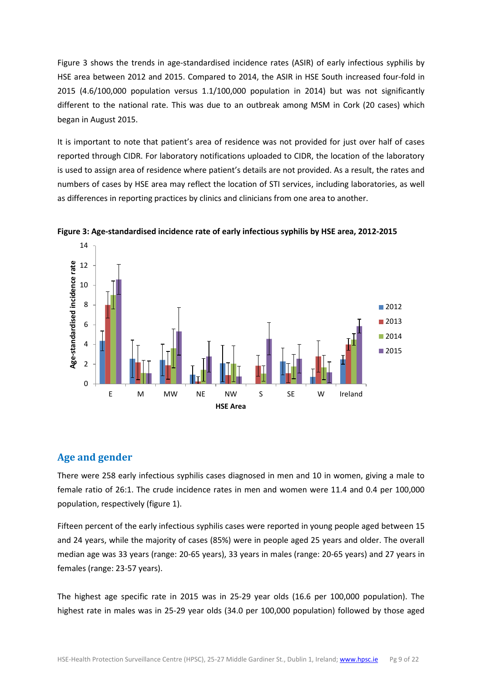Figure 3 shows the trends in age-standardised incidence rates (ASIR) of early infectious syphilis by HSE area between 2012 and 2015. Compared to 2014, the ASIR in HSE South increased four-fold in 2015 (4.6/100,000 population versus 1.1/100,000 population in 2014) but was not significantly different to the national rate. This was due to an outbreak among MSM in Cork (20 cases) which began in August 2015.

It is important to note that patient's area of residence was not provided for just over half of cases reported through CIDR. For laboratory notifications uploaded to CIDR, the location of the laboratory is used to assign area of residence where patient's details are not provided. As a result, the rates and numbers of cases by HSE area may reflect the location of STI services, including laboratories, as well as differences in reporting practices by clinics and clinicians from one area to another.



**Figure 3: Age-standardised incidence rate of early infectious syphilis by HSE area, 2012-2015**

### <span id="page-8-0"></span>**Age and gender**

There were 258 early infectious syphilis cases diagnosed in men and 10 in women, giving a male to female ratio of 26:1. The crude incidence rates in men and women were 11.4 and 0.4 per 100,000 population, respectively (figure 1).

Fifteen percent of the early infectious syphilis cases were reported in young people aged between 15 and 24 years, while the majority of cases (85%) were in people aged 25 years and older. The overall median age was 33 years (range: 20-65 years), 33 years in males (range: 20-65 years) and 27 years in females (range: 23-57 years).

The highest age specific rate in 2015 was in 25-29 year olds (16.6 per 100,000 population). The highest rate in males was in 25-29 year olds (34.0 per 100,000 population) followed by those aged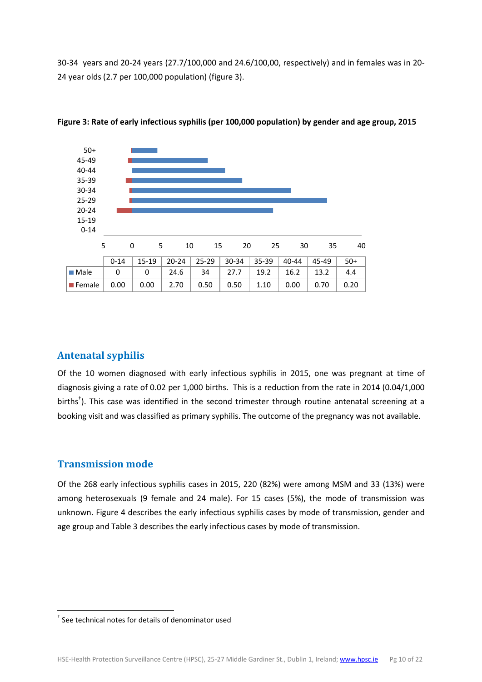30-34 years and 20-24 years (27.7/100,000 and 24.6/100,00, respectively) and in females was in 20- 24 year olds (2.7 per 100,000 population) (figure 3).



**Figure 3: Rate of early infectious syphilis (per 100,000 population) by gender and age group, 2015**

### <span id="page-9-0"></span>**Antenatal syphilis**

Of the 10 women diagnosed with early infectious syphilis in 2015, one was pregnant at time of diagnosis giving a rate of 0.02 per 1,000 births. This is a reduction from the rate in 2014 (0.04/1,000 births<sup>†</sup>). This case was identified in the second trimester through routine antenatal screening at a booking visit and was classified as primary syphilis. The outcome of the pregnancy was not available.

### <span id="page-9-1"></span>**Transmission mode**

 $\overline{\phantom{a}}$ 

Of the 268 early infectious syphilis cases in 2015, 220 (82%) were among MSM and 33 (13%) were among heterosexuals (9 female and 24 male). For 15 cases (5%), the mode of transmission was unknown. Figure 4 describes the early infectious syphilis cases by mode of transmission, gender and age group and Table 3 describes the early infectious cases by mode of transmission.

<sup>†</sup> See technical notes for details of denominator used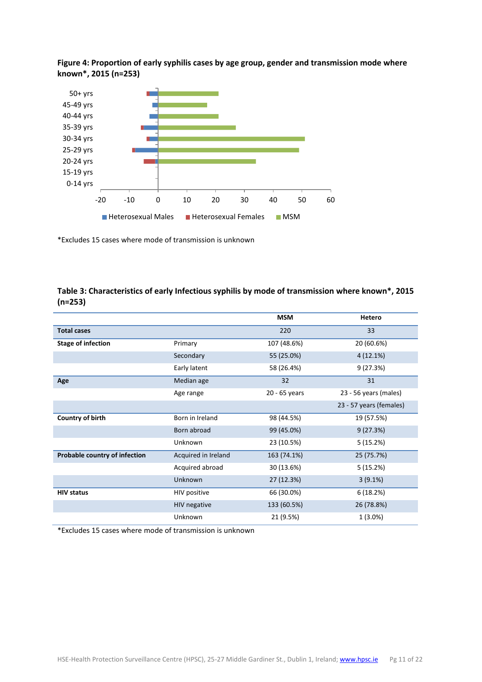#### **Figure 4: Proportion of early syphilis cases by age group, gender and transmission mode where known\*, 2015 (n=253)**



\*Excludes 15 cases where mode of transmission is unknown

# **MSM Hetero Total cases** 220 33 **Stage of infection Primary Primary** 107 (48.6%) 20 (60.6%) Secondary 55 (25.0%) 4 (12.1%) Early latent 58 (26.4%) 58 (26.4%) **Age** Median age 32 31 Age range 20 - 65 years 23 - 56 years (males) 23 - 57 years (females) **Country of birth** Born in Ireland 98 (44.5%) 19 (57.5%) Born abroad 99 (45.0%) 9 (27.3%) Unknown 23 (10.5%) 5 (15.2%) **Probable country of infection** Acquired in Ireland 163 (74.1%) 25 (75.7%) Acquired abroad 30 (13.6%) 5 (15.2%) Unknown 27 (12.3%) 3 (9.1%) **HIV status** 6 (18.2%) 6 (18.2%) 6 (18.2%) 6 (18.2%) HIV negative 133 (60.5%) 26 (78.8%) Unknown 21 (9.5%) 1 (3.0%)

#### **Table 3: Characteristics of early Infectious syphilis by mode of transmission where known\*, 2015 (n=253)**

\*Excludes 15 cases where mode of transmission is unknown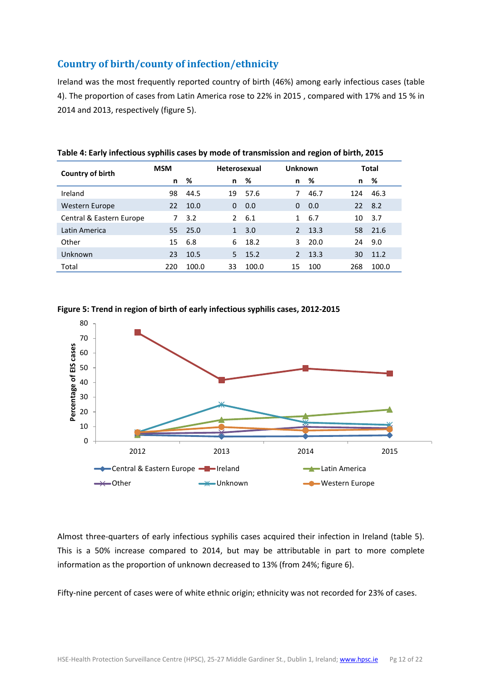### <span id="page-11-0"></span>**Country of birth/county of infection/ethnicity**

Ireland was the most frequently reported country of birth (46%) among early infectious cases (table 4). The proportion of cases from Latin America rose to 22% in 2015 , compared with 17% and 15 % in 2014 and 2013, respectively (figure 5).

| Country of birth         | <b>MSM</b> |       |               | <b>Heterosexual</b> |               | Unknown |     | <b>Total</b> |  |
|--------------------------|------------|-------|---------------|---------------------|---------------|---------|-----|--------------|--|
|                          | n.         | %     | n             | %                   | n             | %       | n   | %            |  |
| Ireland                  | 98         | 44.5  | 19            | 57.6                | 7             | 46.7    | 124 | 46.3         |  |
| Western Europe           | 22         | 10.0  | 0             | 0.0                 | 0             | 0.0     | 22  | 8.2          |  |
| Central & Eastern Europe | 7          | 3.2   | $\mathcal{P}$ | 6.1                 |               | 6.7     | 10  | 3.7          |  |
| Latin America            | 55         | 25.0  | 1             | 3.0                 | $\mathcal{P}$ | 13.3    | 58  | 21.6         |  |
| Other                    | 15         | 6.8   | 6             | 18.2                | 3.            | 20.0    | 24  | 9.0          |  |
| Unknown                  | 23         | 10.5  | 5.            | 15.2                | $\mathcal{P}$ | 13.3    | 30  | 11.2         |  |
| Total                    | 220        | 100.0 | 33            | 100.0               | 15            | 100     | 268 | 100.0        |  |

**Table 4: Early infectious syphilis cases by mode of transmission and region of birth, 2015**





Almost three-quarters of early infectious syphilis cases acquired their infection in Ireland (table 5). This is a 50% increase compared to 2014, but may be attributable in part to more complete information as the proportion of unknown decreased to 13% (from 24%; figure 6).

Fifty-nine percent of cases were of white ethnic origin; ethnicity was not recorded for 23% of cases.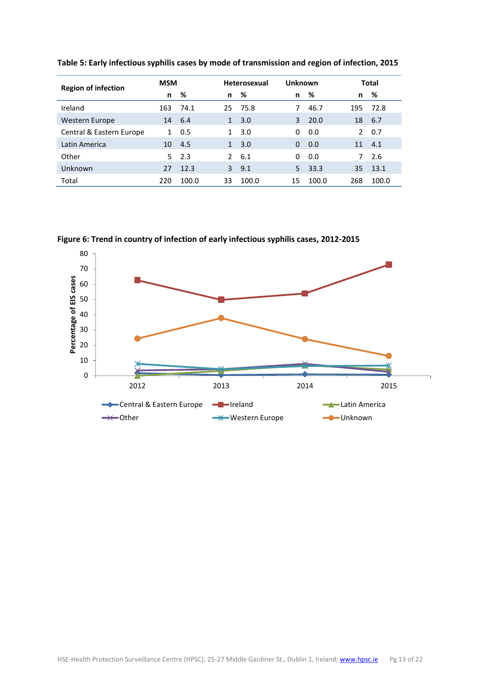| <b>Region of infection</b> |     | <b>MSM</b> |              | <b>Heterosexual</b> |          | Unknown |               | Total |  |
|----------------------------|-----|------------|--------------|---------------------|----------|---------|---------------|-------|--|
|                            | n   | %          | n            | - %                 | n        | %       | n             | %     |  |
| Ireland                    | 163 | 74.1       | 25.          | 75.8                | 7        | 46.7    | 195           | 72.8  |  |
| Western Europe             | 14  | -6.4       | 1            | 3.0                 | 3        | 20.0    | 18            | 6.7   |  |
| Central & Eastern Europe   | 1   | 0.5        | $\mathbf{1}$ | 3.0                 | 0        | 0.0     | $\mathcal{P}$ | 0.7   |  |
| Latin America              | 10  | -4.5       | 1            | 3.0                 | $\Omega$ | 0.0     | 11            | 4.1   |  |
| Other                      | 5.  | 2.3        |              | $2 \quad 6.1$       | 0        | 0.0     | 7             | 2.6   |  |
| Unknown                    | 27  | 12.3       | 3            | 9.1                 | 5.       | 33.3    | 35            | 13.1  |  |
| Total                      | 220 | 100.0      | 33           | 100.0               | 15       | 100.0   | 268           | 100.0 |  |

**Table 5: Early infectious syphilis cases by mode of transmission and region of infection, 2015**



**Figure 6: Trend in country of infection of early infectious syphilis cases, 2012-2015**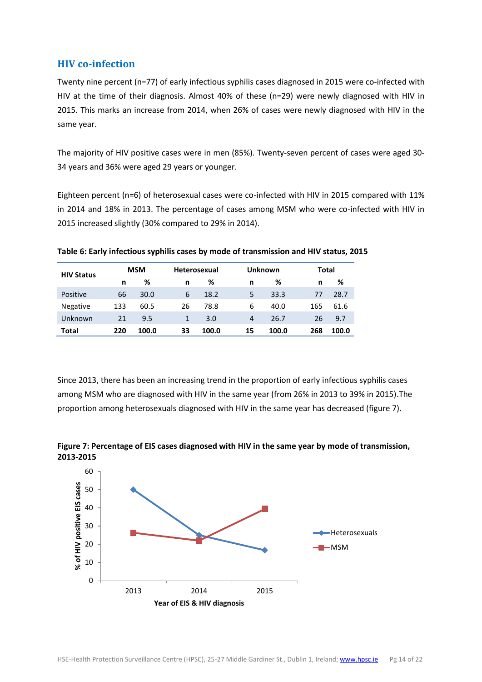### <span id="page-13-0"></span>**HIV co-infection**

Twenty nine percent (n=77) of early infectious syphilis cases diagnosed in 2015 were co-infected with HIV at the time of their diagnosis. Almost 40% of these (n=29) were newly diagnosed with HIV in 2015. This marks an increase from 2014, when 26% of cases were newly diagnosed with HIV in the same year.

The majority of HIV positive cases were in men (85%). Twenty-seven percent of cases were aged 30- 34 years and 36% were aged 29 years or younger.

Eighteen percent (n=6) of heterosexual cases were co-infected with HIV in 2015 compared with 11% in 2014 and 18% in 2013. The percentage of cases among MSM who were co-infected with HIV in 2015 increased slightly (30% compared to 29% in 2014).

| <b>HIV Status</b> |     | <b>MSM</b> |    | <b>Heterosexual</b> |                | Unknown |     | Total |  |
|-------------------|-----|------------|----|---------------------|----------------|---------|-----|-------|--|
|                   | n   | %          | n  | %                   | n              | %       | n   | %     |  |
| Positive          | 66  | 30.0       | 6  | 18.2                | 5              | 33.3    | 77  | 28.7  |  |
| <b>Negative</b>   | 133 | 60.5       | 26 | 78.8                | 6              | 40.0    | 165 | 61.6  |  |
| Unknown           | 21  | 9.5        | 1  | 3.0                 | $\overline{4}$ | 26.7    | 26  | 9.7   |  |
| Total             | 220 | 100.0      | 33 | 100.0               | 15             | 100.0   | 268 | 100.0 |  |

**Table 6: Early infectious syphilis cases by mode of transmission and HIV status, 2015**

Since 2013, there has been an increasing trend in the proportion of early infectious syphilis cases among MSM who are diagnosed with HIV in the same year (from 26% in 2013 to 39% in 2015).The proportion among heterosexuals diagnosed with HIV in the same year has decreased (figure 7).



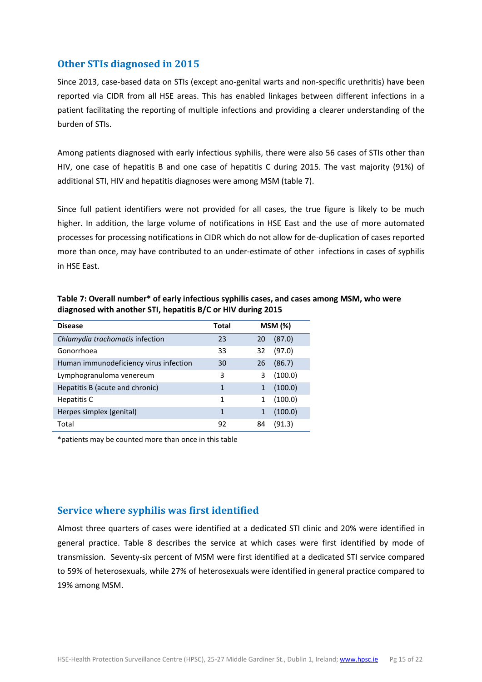### <span id="page-14-0"></span>**Other STIs diagnosed in 2015**

Since 2013, case-based data on STIs (except ano-genital warts and non-specific urethritis) have been reported via CIDR from all HSE areas. This has enabled linkages between different infections in a patient facilitating the reporting of multiple infections and providing a clearer understanding of the burden of STIs.

Among patients diagnosed with early infectious syphilis, there were also 56 cases of STIs other than HIV, one case of hepatitis B and one case of hepatitis C during 2015. The vast majority (91%) of additional STI, HIV and hepatitis diagnoses were among MSM (table 7).

Since full patient identifiers were not provided for all cases, the true figure is likely to be much higher. In addition, the large volume of notifications in HSE East and the use of more automated processes for processing notifications in CIDR which do not allow for de-duplication of cases reported more than once, may have contributed to an under-estimate of other infections in cases of syphilis in HSE East.

| <b>Disease</b>                         | Total |    | MSM (%) |
|----------------------------------------|-------|----|---------|
| Chlamydia trachomatis infection        | 23    | 20 | (87.0)  |
| Gonorrhoea                             | 33    | 32 | (97.0)  |
| Human immunodeficiency virus infection | 30    | 26 | (86.7)  |
| Lymphogranuloma venereum               | 3     | 3  | (100.0) |
| Hepatitis B (acute and chronic)        | 1     |    | (100.0) |
| Hepatitis C                            | 1     |    | (100.0) |
| Herpes simplex (genital)               | 1     |    | (100.0) |
| Total                                  | 92    | 84 | (91.3)  |

**Table 7: Overall number\* of early infectious syphilis cases, and cases among MSM, who were diagnosed with another STI, hepatitis B/C or HIV during 2015**

\*patients may be counted more than once in this table

### <span id="page-14-1"></span>**Service where syphilis was first identified**

Almost three quarters of cases were identified at a dedicated STI clinic and 20% were identified in general practice. Table 8 describes the service at which cases were first identified by mode of transmission. Seventy-six percent of MSM were first identified at a dedicated STI service compared to 59% of heterosexuals, while 27% of heterosexuals were identified in general practice compared to 19% among MSM.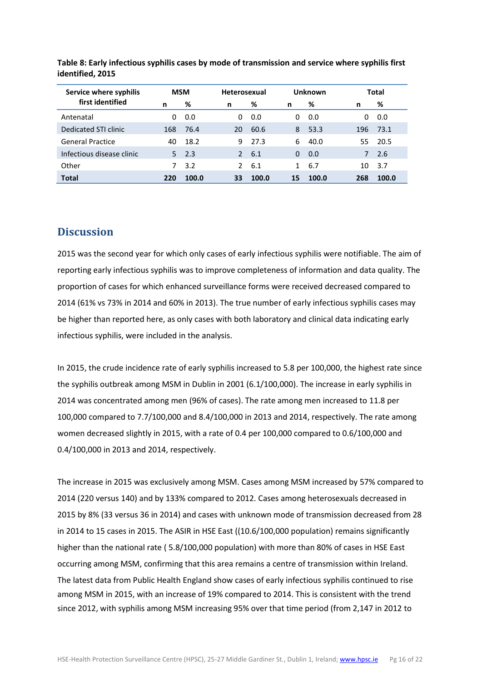| Service where syphilis    |     | <b>MSM</b> |               | <b>Heterosexual</b> |    | <b>Unknown</b> |     | Total |  |
|---------------------------|-----|------------|---------------|---------------------|----|----------------|-----|-------|--|
| first identified          | n   | %          | n             | ℅                   | n  | %              | n   | %     |  |
| Antenatal                 | 0   | 0.0        | 0             | 0.0                 | 0  | 0.0            | 0   | 0.0   |  |
| Dedicated STI clinic      | 168 | 76.4       | 20            | 60.6                | 8  | 53.3           | 196 | 73.1  |  |
| <b>General Practice</b>   | 40  | 18.2       | 9             | 27.3                | 6  | 40.0           | 55  | 20.5  |  |
| Infectious disease clinic | 5.  | 2.3        | $\mathcal{P}$ | 6.1                 | 0  | 0.0            | 7   | 2.6   |  |
| Other                     |     | 3.2        | $\mathcal{P}$ | 6.1                 |    | 6.7            | 10  | 3.7   |  |
| <b>Total</b>              | 220 | 100.0      | 33            | 100.0               | 15 | 100.0          | 268 | 100.0 |  |

**Table 8: Early infectious syphilis cases by mode of transmission and service where syphilis first identified, 2015**

### <span id="page-15-0"></span>**Discussion**

2015 was the second year for which only cases of early infectious syphilis were notifiable. The aim of reporting early infectious syphilis was to improve completeness of information and data quality. The proportion of cases for which enhanced surveillance forms were received decreased compared to 2014 (61% vs 73% in 2014 and 60% in 2013). The true number of early infectious syphilis cases may be higher than reported here, as only cases with both laboratory and clinical data indicating early infectious syphilis, were included in the analysis.

In 2015, the crude incidence rate of early syphilis increased to 5.8 per 100,000, the highest rate since the syphilis outbreak among MSM in Dublin in 2001 (6.1/100,000). The increase in early syphilis in 2014 was concentrated among men (96% of cases). The rate among men increased to 11.8 per 100,000 compared to 7.7/100,000 and 8.4/100,000 in 2013 and 2014, respectively. The rate among women decreased slightly in 2015, with a rate of 0.4 per 100,000 compared to 0.6/100,000 and 0.4/100,000 in 2013 and 2014, respectively.

The increase in 2015 was exclusively among MSM. Cases among MSM increased by 57% compared to 2014 (220 versus 140) and by 133% compared to 2012. Cases among heterosexuals decreased in 2015 by 8% (33 versus 36 in 2014) and cases with unknown mode of transmission decreased from 28 in 2014 to 15 cases in 2015. The ASIR in HSE East ((10.6/100,000 population) remains significantly higher than the national rate ( 5.8/100,000 population) with more than 80% of cases in HSE East occurring among MSM, confirming that this area remains a centre of transmission within Ireland. The latest data from Public Health England show cases of early infectious syphilis continued to rise among MSM in 2015, with an increase of 19% compared to 2014. This is consistent with the trend since 2012, with syphilis among MSM increasing 95% over that time period (from 2,147 in 2012 to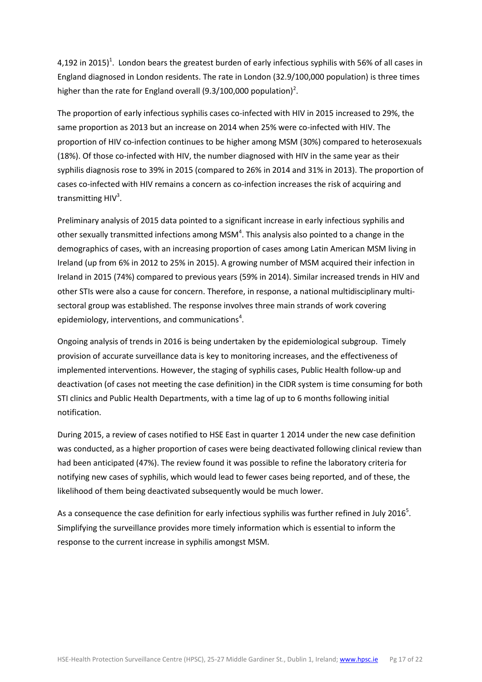4,192 in 2015)<sup>1</sup>. London bears the greatest burden of early infectious syphilis with 56% of all cases in England diagnosed in London residents. The rate in London (32.9/100,000 population) is three times higher than the rate for England overall (9.3/100,000 population)<sup>2</sup>.

The proportion of early infectious syphilis cases co-infected with HIV in 2015 increased to 29%, the same proportion as 2013 but an increase on 2014 when 25% were co-infected with HIV. The proportion of HIV co-infection continues to be higher among MSM (30%) compared to heterosexuals (18%). Of those co-infected with HIV, the number diagnosed with HIV in the same year as their syphilis diagnosis rose to 39% in 2015 (compared to 26% in 2014 and 31% in 2013). The proportion of cases co-infected with HIV remains a concern as co-infection increases the risk of acquiring and transmitting  $HIV<sup>3</sup>$ .

Preliminary analysis of 2015 data pointed to a significant increase in early infectious syphilis and other sexually transmitted infections among MSM<sup>4</sup>. This analysis also pointed to a change in the demographics of cases, with an increasing proportion of cases among Latin American MSM living in Ireland (up from 6% in 2012 to 25% in 2015). A growing number of MSM acquired their infection in Ireland in 2015 (74%) compared to previous years (59% in 2014). Similar increased trends in HIV and other STIs were also a cause for concern. Therefore, in response, a national multidisciplinary multisectoral group was established. The response involves three main strands of work covering epidemiology, interventions, and communications<sup>4</sup>.

Ongoing analysis of trends in 2016 is being undertaken by the epidemiological subgroup. Timely provision of accurate surveillance data is key to monitoring increases, and the effectiveness of implemented interventions. However, the staging of syphilis cases, Public Health follow-up and deactivation (of cases not meeting the case definition) in the CIDR system is time consuming for both STI clinics and Public Health Departments, with a time lag of up to 6 months following initial notification.

During 2015, a review of cases notified to HSE East in quarter 1 2014 under the new case definition was conducted, as a higher proportion of cases were being deactivated following clinical review than had been anticipated (47%). The review found it was possible to refine the laboratory criteria for notifying new cases of syphilis, which would lead to fewer cases being reported, and of these, the likelihood of them being deactivated subsequently would be much lower.

As a consequence the case definition for early infectious syphilis was further refined in July 2016<sup>5</sup>. Simplifying the surveillance provides more timely information which is essential to inform the response to the current increase in syphilis amongst MSM.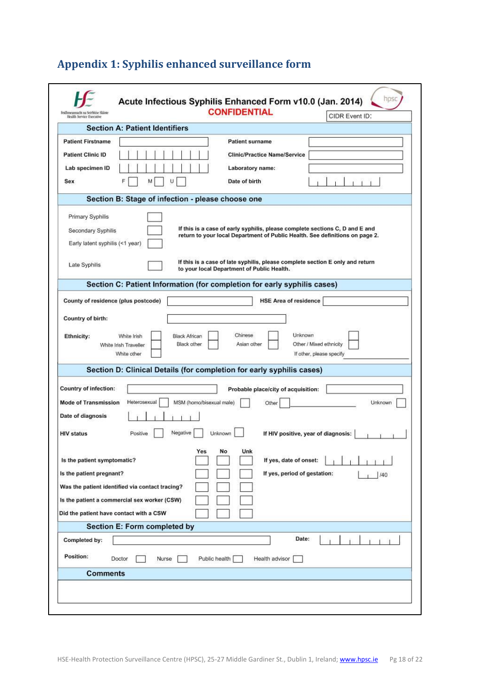| Feidhmeannacht na Seirbhíse Sláinte<br>Health Service Executive           | Acute Infectious Syphilis Enhanced Form v10.0 (Jan. 2014)                | <b>CONFIDENTIAL</b>                        | hpsc<br>CIDR Event ID:                                                                                                                                                                                                                        |
|---------------------------------------------------------------------------|--------------------------------------------------------------------------|--------------------------------------------|-----------------------------------------------------------------------------------------------------------------------------------------------------------------------------------------------------------------------------------------------|
|                                                                           | <b>Section A: Patient Identifiers</b>                                    |                                            |                                                                                                                                                                                                                                               |
| <b>Patient Firstname</b>                                                  |                                                                          | <b>Patient surname</b>                     |                                                                                                                                                                                                                                               |
| <b>Patient Clinic ID</b>                                                  |                                                                          | <b>Clinic/Practice Name/Service</b>        |                                                                                                                                                                                                                                               |
| Lab specimen ID                                                           |                                                                          | Laboratory name:                           |                                                                                                                                                                                                                                               |
| Sex                                                                       | U<br>м                                                                   | Date of birth                              |                                                                                                                                                                                                                                               |
|                                                                           | Section B: Stage of infection - please choose one                        |                                            |                                                                                                                                                                                                                                               |
| Primary Syphilis<br>Secondary Syphilis<br>Early latent syphilis (<1 year) |                                                                          |                                            | If this is a case of early syphilis, please complete sections C, D and E and<br>return to your local Department of Public Health. See definitions on page 2.<br>If this is a case of late syphilis, please complete section E only and return |
| Late Syphilis                                                             |                                                                          | to your local Department of Public Health. |                                                                                                                                                                                                                                               |
|                                                                           | Section C: Patient Information (for completion for early syphilis cases) |                                            |                                                                                                                                                                                                                                               |
| County of residence (plus postcode)                                       |                                                                          | <b>HSE Area of residence</b>               |                                                                                                                                                                                                                                               |
| Country of birth:                                                         |                                                                          |                                            |                                                                                                                                                                                                                                               |
|                                                                           | Black other<br>White Irish Traveller<br>White other                      | Asian other                                | Other / Mixed ethnicity<br>If other, please specify                                                                                                                                                                                           |
|                                                                           | Section D: Clinical Details (for completion for early syphilis cases)    |                                            |                                                                                                                                                                                                                                               |
| <b>Country of infection:</b>                                              |                                                                          | Probable place/city of acquisition:        |                                                                                                                                                                                                                                               |
| <b>Mode of Transmission</b>                                               | MSM (homo/bisexual male)<br>Heterosexual                                 | Other                                      | Unknown                                                                                                                                                                                                                                       |
| Date of diagnosis                                                         |                                                                          |                                            |                                                                                                                                                                                                                                               |
| <b>HIV status</b>                                                         | Negative<br>Positive                                                     | Unknown                                    | If HIV positive, year of diagnosis:                                                                                                                                                                                                           |
| Is the patient symptomatic?                                               | Yes                                                                      | No<br>Unk<br>If yes, date of onset:        |                                                                                                                                                                                                                                               |
| Is the patient pregnant?                                                  |                                                                          |                                            | If yes, period of gestation:<br>140                                                                                                                                                                                                           |
|                                                                           | Was the patient identified via contact tracing?                          |                                            |                                                                                                                                                                                                                                               |
|                                                                           | Is the patient a commercial sex worker (CSW)                             |                                            |                                                                                                                                                                                                                                               |
| Did the patient have contact with a CSW                                   |                                                                          |                                            |                                                                                                                                                                                                                                               |
|                                                                           | Section E: Form completed by                                             |                                            |                                                                                                                                                                                                                                               |
| Completed by:                                                             |                                                                          |                                            | Date:                                                                                                                                                                                                                                         |
|                                                                           | Doctor<br>Nurse                                                          | Public health<br>Health advisor            |                                                                                                                                                                                                                                               |
| Position:                                                                 |                                                                          |                                            |                                                                                                                                                                                                                                               |
| <b>Comments</b>                                                           |                                                                          |                                            |                                                                                                                                                                                                                                               |

# <span id="page-17-0"></span>**Appendix 1: Syphilis enhanced surveillance form**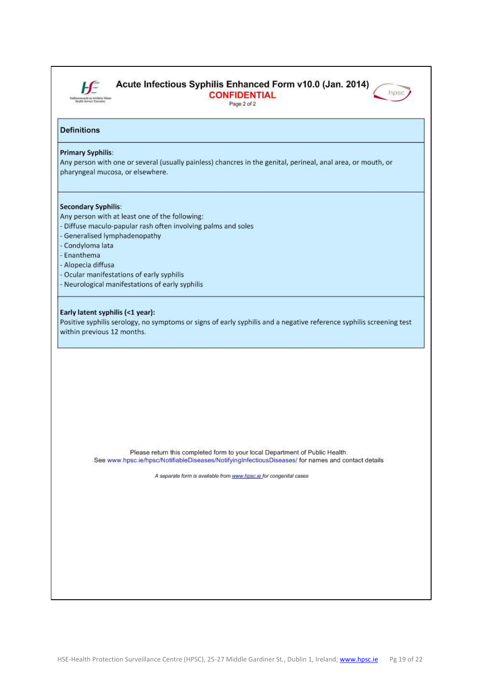

### Acute Infectious Syphilis Enhanced Form v10.0 (Jan. 2014)

**CONFIDENTIAL** Page 2 of 2



#### **Definitions**

#### **Primary Syphilis:**

Any person with one or several (usually painless) chancres in the genital, perineal, anal area, or mouth, or pharyngeal mucosa, or elsewhere.

#### **Secondary Syphilis:**

Any person with at least one of the following:

- Diffuse maculo-papular rash often involving palms and soles
- Generalised lymphadenopathy

- Condyloma lata

- Enanthema
- Alopecia diffusa
- Ocular manifestations of early syphilis
- Neurological manifestations of early syphilis

#### Early latent syphilis (<1 year):

Positive syphilis serology, no symptoms or signs of early syphilis and a negative reference syphilis screening test within previous 12 months.

Please return this completed form to your local Department of Public Health. See www.hpsc.ie/hpsc/NotifiableDiseases/NotifyingInfectiousDiseases/ for names and contact details

A separate form is available from www.hpsc.ie for congenital cases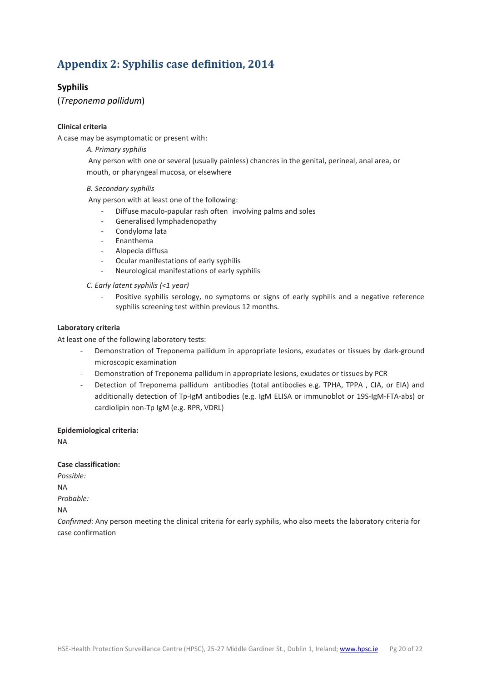# <span id="page-19-0"></span>**Appendix 2: Syphilis case definition, 2014**

#### **Syphilis**

(*Treponema pallidum*)

#### **Clinical criteria**

A case may be asymptomatic or present with:

#### *A. Primary syphilis*

Any person with one or several (usually painless) chancres in the genital, perineal, anal area, or mouth, or pharyngeal mucosa, or elsewhere

#### *B. Secondary syphilis*

Any person with at least one of the following:

- Diffuse maculo-papular rash often involving palms and soles
- Generalised lymphadenopathy
- Condyloma lata
- Enanthema
- Alopecia diffusa
- Ocular manifestations of early syphilis
- Neurological manifestations of early syphilis

*C. Early latent syphilis (<1 year)*

Positive syphilis serology, no symptoms or signs of early syphilis and a negative reference syphilis screening test within previous 12 months.

#### **Laboratory criteria**

At least one of the following laboratory tests:

- Demonstration of Treponema pallidum in appropriate lesions, exudates or tissues by dark-ground microscopic examination
- Demonstration of Treponema pallidum in appropriate lesions, exudates or tissues by PCR
- Detection of Treponema pallidum antibodies (total antibodies e.g. TPHA, TPPA , CIA, or EIA) and additionally detection of Tp-IgM antibodies (e.g. IgM ELISA or immunoblot or 19S-IgM-FTA-abs) or cardiolipin non-Tp IgM (e.g. RPR, VDRL)

#### **Epidemiological criteria:**

NA

#### **Case classification:**

*Possible:* NA

*Probable:*

NA

*Confirmed:* Any person meeting the clinical criteria for early syphilis, who also meets the laboratory criteria for case confirmation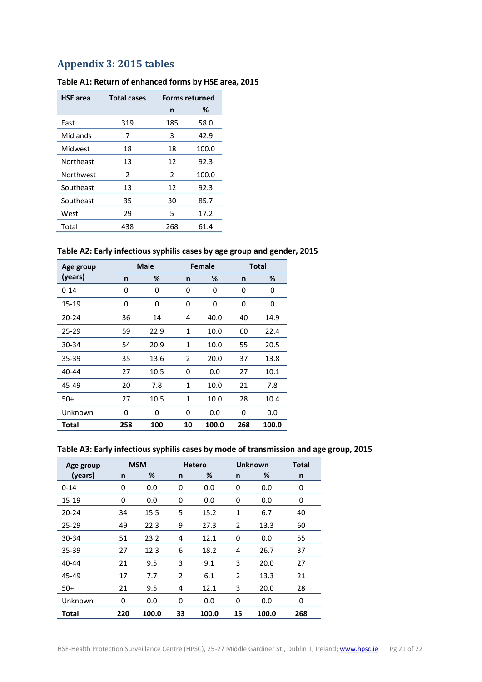### <span id="page-20-0"></span>**Appendix 3: 2015 tables**

| <b>HSE</b> area | <b>Total cases</b> | <b>Forms returned</b> |       |
|-----------------|--------------------|-----------------------|-------|
|                 |                    | n                     | %     |
| East            | 319                | 185                   | 58.0  |
| Midlands        | 7                  | 3                     | 42.9  |
| Midwest         | 18                 | 18                    | 100.0 |
| Northeast       | 13                 | 12                    | 92.3  |
| Northwest       | 2                  | 2                     | 100.0 |
| Southeast       | 13                 | 12                    | 92.3  |
| Southeast       | 35                 | 30                    | 85.7  |
| West            | 29                 | 5                     | 17.2  |
| Total           | 438                | 268                   | 61.4  |

#### **Table A1: Return of enhanced forms by HSE area, 2015**

#### **Table A2: Early infectious syphilis cases by age group and gender, 2015**

| Age group |     | <b>Male</b> |    | <b>Female</b> | <b>Total</b> |       |
|-----------|-----|-------------|----|---------------|--------------|-------|
| (years)   | n   | %           | n  | %             | n            | %     |
| $0 - 14$  | 0   | 0           | 0  | 0             | 0            | 0     |
| 15-19     | 0   | 0           | 0  | 0             | 0            | 0     |
| 20-24     | 36  | 14          | 4  | 40.0          | 40           | 14.9  |
| 25-29     | 59  | 22.9        | 1  | 10.0          | 60           | 22.4  |
| 30-34     | 54  | 20.9        | 1  | 10.0          | 55           | 20.5  |
| 35-39     | 35  | 13.6        | 2  | 20.0          | 37           | 13.8  |
| 40-44     | 27  | 10.5        | 0  | 0.0           | 27           | 10.1  |
| 45-49     | 20  | 7.8         | 1  | 10.0          | 21           | 7.8   |
| $50+$     | 27  | 10.5        | 1  | 10.0          | 28           | 10.4  |
| Unknown   | 0   | 0           | 0  | 0.0           | 0            | 0.0   |
| Total     | 258 | 100         | 10 | 100.0         | 268          | 100.0 |

#### **Table A3: Early infectious syphilis cases by mode of transmission and age group, 2015**

| Age group |     | <b>MSM</b> |    | <b>Hetero</b> |                | <b>Unknown</b> | <b>Total</b> |
|-----------|-----|------------|----|---------------|----------------|----------------|--------------|
| (years)   | n   | %          | n  | %             | n              | %              | n            |
| $0 - 14$  | 0   | 0.0        | 0  | 0.0           | 0              | 0.0            | 0            |
| 15-19     | 0   | 0.0        | 0  | 0.0           | 0              | 0.0            | 0            |
| $20 - 24$ | 34  | 15.5       | 5  | 15.2          | 1              | 6.7            | 40           |
| 25-29     | 49  | 22.3       | 9  | 27.3          | 2              | 13.3           | 60           |
| 30-34     | 51  | 23.2       | 4  | 12.1          | 0              | 0.0            | 55           |
| 35-39     | 27  | 12.3       | 6  | 18.2          | 4              | 26.7           | 37           |
| 40-44     | 21  | 9.5        | 3  | 9.1           | 3              | 20.0           | 27           |
| 45-49     | 17  | 7.7        | 2  | 6.1           | $\overline{2}$ | 13.3           | 21           |
| $50+$     | 21  | 9.5        | 4  | 12.1          | 3              | 20.0           | 28           |
| Unknown   | 0   | 0.0        | 0  | 0.0           | 0              | 0.0            | 0            |
| Total     | 220 | 100.0      | 33 | 100.0         | 15             | 100.0          | 268          |